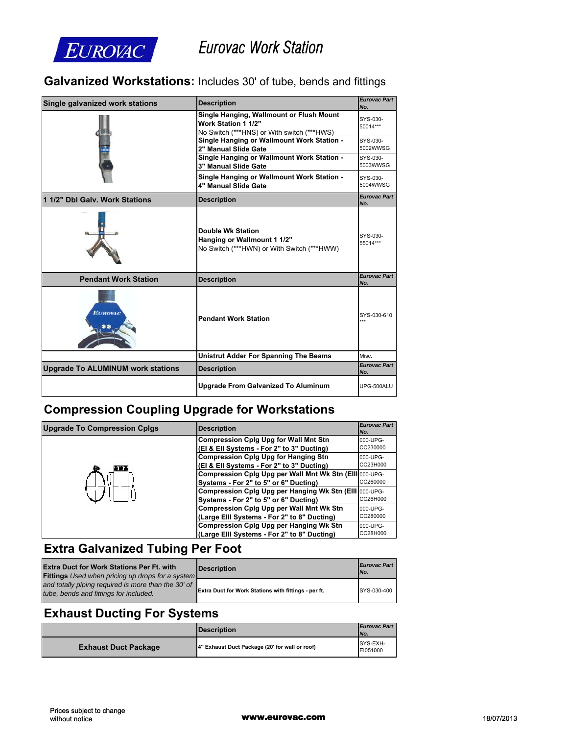

# *Eurovac Work Station*

#### **Galvanized Workstations:** Includes 30' of tube, bends and fittings

| Single galvanized work stations          | <b>Description</b>                                                                                            | <b>Eurovac Part</b><br>No. |
|------------------------------------------|---------------------------------------------------------------------------------------------------------------|----------------------------|
|                                          | Single Hanging, Wallmount or Flush Mount<br>Work Station 1 1/2"<br>No Switch (***HNS) or With switch (***HWS) | SYS-030-<br>50014***       |
|                                          | Single Hanging or Wallmount Work Station -<br>2" Manual Slide Gate                                            | SYS-030-<br>5002WWSG       |
|                                          | Single Hanging or Wallmount Work Station -<br>3" Manual Slide Gate                                            | SYS-030-<br>5003WWSG       |
|                                          | Single Hanging or Wallmount Work Station -<br>4" Manual Slide Gate                                            | SYS-030-<br>5004WWSG       |
| 1 1/2" Dbl Galv. Work Stations           | <b>Description</b>                                                                                            | <b>Eurovac Part</b><br>No. |
|                                          | <b>Double Wk Station</b><br>Hanging or Wallmount 1 1/2"<br>No Switch (***HWN) or With Switch (***HWW)         | SYS-030-<br>55014***       |
| <b>Pendant Work Station</b>              | <b>Description</b>                                                                                            | <b>Eurovac Part</b><br>No. |
| <b>EUROVAC</b>                           | <b>Pendant Work Station</b>                                                                                   | SYS-030-610<br>            |
|                                          | <b>Unistrut Adder For Spanning The Beams</b>                                                                  | Misc.                      |
| <b>Upgrade To ALUMINUM work stations</b> | <b>Description</b>                                                                                            | <b>Eurovac Part</b><br>No. |
|                                          | <b>Upgrade From Galvanized To Aluminum</b>                                                                    | UPG-500ALU                 |

### **Compression Coupling Upgrade for Workstations**

| <b>Upgrade To Compression Cplgs</b> | <b>Description</b>                                      | <b>Eurovac Part</b><br>No. |
|-------------------------------------|---------------------------------------------------------|----------------------------|
|                                     | <b>Compression Cplg Upg for Wall Mnt Stn</b>            | 000-UPG-                   |
|                                     | (El & Ell Systems - For 2" to 3" Ducting)               | CC230000                   |
|                                     | <b>Compression Cplg Upg for Hanging Stn</b>             | 000-UPG-                   |
| 通信器                                 | (EI & EII Systems - For 2" to 3" Ducting)               | CC23H000                   |
|                                     | Compression Cplg Upg per Wall Mnt Wk Stn (Elll 000-UPG- |                            |
|                                     | Systems - For 2" to 5" or 6" Ducting)                   | CC260000                   |
|                                     | Compression Cplg Upg per Hanging Wk Stn (Elll 000-UPG-  |                            |
|                                     | Systems - For 2" to 5" or 6" Ducting)                   | CC26H000                   |
|                                     | <b>Compression Cplg Upg per Wall Mnt Wk Stn</b>         | 000-UPG-                   |
|                                     | (Large Elli Systems - For 2" to 8" Ducting)             | CC280000                   |
|                                     | <b>Compression Cplg Upg per Hanging Wk Stn</b>          | 000-UPG-                   |
|                                     | (Large Elli Systems - For 2" to 8" Ducting)             | CC28H000                   |

### **Extra Galvanized Tubing Per Foot**

| <b>Extra Duct for Work Stations Per Ft. with</b><br><b>Fittings</b> Used when pricing up drops for a system | <b>Description</b>                                   | <b>Eurovac Part</b><br>INo. |
|-------------------------------------------------------------------------------------------------------------|------------------------------------------------------|-----------------------------|
| and totally piping required is more than the 30' of<br>tube, bends and fittings for included.               | Extra Duct for Work Stations with fittings - per ft. | SYS-030-400                 |

### **Exhaust Ducting For Systems**

|                             | <b>IDescription</b>                            | <b>Eurovac Part</b><br>No. |
|-----------------------------|------------------------------------------------|----------------------------|
| <b>Exhaust Duct Package</b> | 4" Exhaust Duct Package (20' for wall or roof) | SYS-EXH-<br>EI051000       |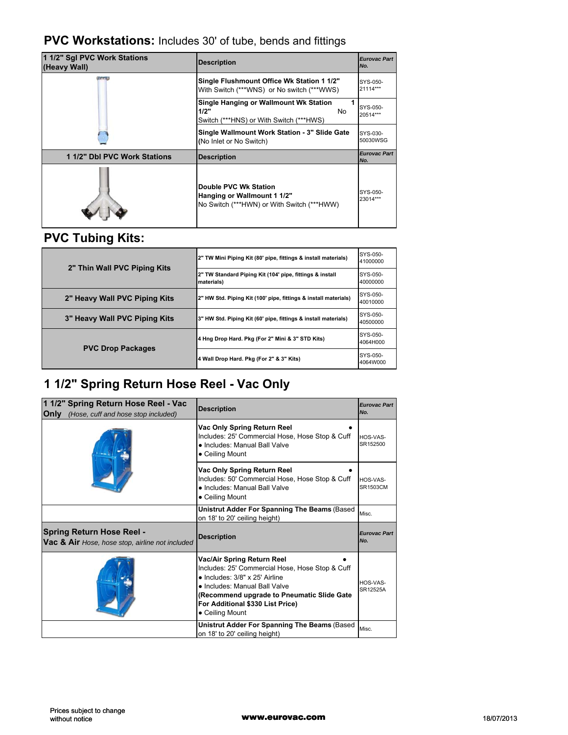#### **PVC Workstations:** Includes 30' of tube, bends and fittings

| 1 1/2" Sgl PVC Work Stations<br>(Heavy Wall) | <b>Description</b>                                                                                 | <b>Eurovac Part</b><br>No. |
|----------------------------------------------|----------------------------------------------------------------------------------------------------|----------------------------|
|                                              | Single Flushmount Office Wk Station 1 1/2"<br>With Switch (***WNS) or No switch (***WWS)           | SYS-050-<br>21114***       |
|                                              | Single Hanging or Wallmount Wk Station<br>1/2"<br>No.<br>Switch (***HNS) or With Switch (***HWS)   | SYS-050-<br>20514***       |
|                                              | Single Wallmount Work Station - 3" Slide Gate<br>(No Inlet or No Switch)                           | SYS-030-<br>50030WSG       |
| 1 1/2" Dbl PVC Work Stations                 | <b>Description</b>                                                                                 | <b>Eurovac Part</b><br>No. |
|                                              | Double PVC Wk Station<br>Hanging or Wallmount 1 1/2"<br>No Switch (***HWN) or With Switch (***HWW) | SYS-050-<br>23014***       |

### **PVC Tubing Kits:**

| 2" Thin Wall PVC Piping Kits  | 2" TW Mini Piping Kit (80' pipe, fittings & install materials)         | SYS-050-<br>41000000 |
|-------------------------------|------------------------------------------------------------------------|----------------------|
|                               | 2" TW Standard Piping Kit (104' pipe, fittings & install<br>materials) | SYS-050-<br>40000000 |
| 2" Heavy Wall PVC Piping Kits | 2" HW Std. Piping Kit (100' pipe, fittings & install materials)        | SYS-050-<br>40010000 |
| 3" Heavy Wall PVC Piping Kits | 3" HW Std. Piping Kit (60' pipe, fittings & install materials)         | SYS-050-<br>40500000 |
| <b>PVC Drop Packages</b>      | 4 Hng Drop Hard. Pkg (For 2" Mini & 3" STD Kits)                       | SYS-050-<br>4064H000 |
|                               | 4 Wall Drop Hard. Pkg (For 2" & 3" Kits)                               | SYS-050-<br>4064W000 |

## **1 1/2" Spring Return Hose Reel - Vac Only**

| 1 1/2" Spring Return Hose Reel - Vac<br>Only<br>(Hose, cuff and hose stop included) | <b>Description</b>                                                                                                                                                                                                                                            | <b>Eurovac Part</b><br>No.  |
|-------------------------------------------------------------------------------------|---------------------------------------------------------------------------------------------------------------------------------------------------------------------------------------------------------------------------------------------------------------|-----------------------------|
|                                                                                     | Vac Only Spring Return Reel<br>Includes: 25' Commercial Hose, Hose Stop & Cuff<br>. Includes: Manual Ball Valve<br>• Ceiling Mount                                                                                                                            | HOS-VAS-<br>SR152500        |
|                                                                                     | Vac Only Spring Return Reel<br>Includes: 50' Commercial Hose, Hose Stop & Cuff<br>• Includes: Manual Ball Valve<br>• Ceiling Mount                                                                                                                            | HOS-VAS-<br><b>SR1503CM</b> |
|                                                                                     | Unistrut Adder For Spanning The Beams (Based<br>on 18' to 20' ceiling height)                                                                                                                                                                                 | Misc.                       |
| <b>Spring Return Hose Reel -</b><br>Vac & Air Hose, hose stop, airline not included | <b>Description</b>                                                                                                                                                                                                                                            | <b>Eurovac Part</b><br>No.  |
|                                                                                     | Vac/Air Spring Return Reel<br>Includes: 25' Commercial Hose, Hose Stop & Cuff<br>$\bullet$ Includes: 3/8" x 25' Airline<br>• Includes: Manual Ball Valve<br>(Recommend upgrade to Pneumatic Slide Gate<br>For Additional \$330 List Price)<br>• Ceiling Mount | HOS-VAS-<br>SR12525A        |
|                                                                                     | Unistrut Adder For Spanning The Beams (Based<br>on 18' to 20' ceiling height)                                                                                                                                                                                 | Misc.                       |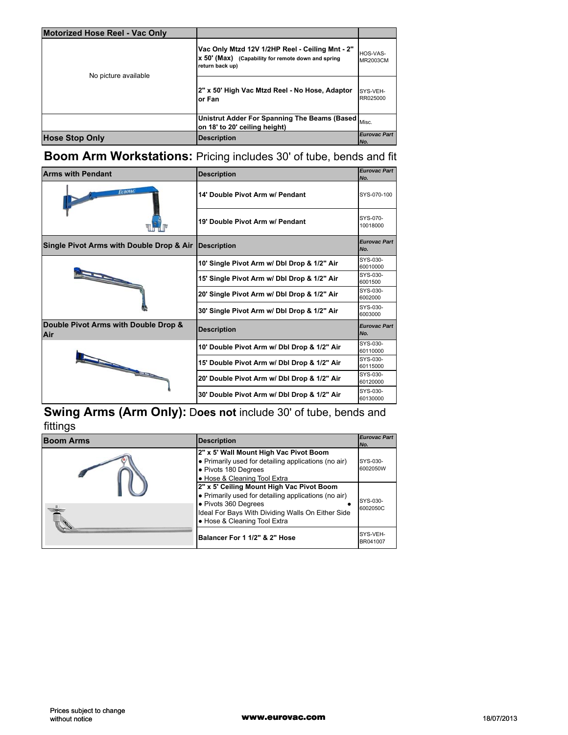| Motorized Hose Reel - Vac Only |                                                                                                                          |                             |
|--------------------------------|--------------------------------------------------------------------------------------------------------------------------|-----------------------------|
| No picture available           | Vac Only Mtzd 12V 1/2HP Reel - Ceiling Mnt - 2"<br>x 50' (Max) (Capability for remote down and spring<br>return back up) | HOS-VAS-<br><b>MR2003CM</b> |
|                                | 2" x 50' High Vac Mtzd Reel - No Hose, Adaptor<br>lor Fan                                                                | SYS-VEH-<br>RR025000        |
|                                | Unistrut Adder For Spanning The Beams (Based Misc.<br>on 18' to 20' ceiling height)                                      |                             |
| <b>Hose Stop Only</b>          | <b>Description</b>                                                                                                       | <b>Eurovac Part</b><br>INo. |

### **Boom Arm Workstations:** Pricing includes 30' of tube, bends and fit

| <b>Arms with Pendant</b>                                                                                                                                                                                                       | <b>Description</b>                          | <b>Eurovac Part</b><br>No. |
|--------------------------------------------------------------------------------------------------------------------------------------------------------------------------------------------------------------------------------|---------------------------------------------|----------------------------|
| <b>EUROVAC</b>                                                                                                                                                                                                                 | 14' Double Pivot Arm w/ Pendant             | SYS-070-100                |
|                                                                                                                                                                                                                                | 19' Double Pivot Arm w/ Pendant             | SYS-070-<br>10018000       |
| Single Pivot Arms with Double Drop & Air                                                                                                                                                                                       | <b>Description</b>                          | <b>Eurovac Part</b><br>No. |
|                                                                                                                                                                                                                                | 10' Single Pivot Arm w/ Dbl Drop & 1/2" Air | SYS-030-<br>60010000       |
|                                                                                                                                                                                                                                | 15' Single Pivot Arm w/ Dbl Drop & 1/2" Air | SYS-030-<br>6001500        |
|                                                                                                                                                                                                                                | 20' Single Pivot Arm w/ Dbl Drop & 1/2" Air | SYS-030-<br>6002000        |
|                                                                                                                                                                                                                                | 30' Single Pivot Arm w/ Dbl Drop & 1/2" Air | SYS-030-<br>6003000        |
| Double Pivot Arms with Double Drop &<br>Air                                                                                                                                                                                    | <b>Description</b>                          | <b>Eurovac Part</b><br>No. |
| and the contract of the contract of the contract of the contract of the contract of the contract of the contract of the contract of the contract of the contract of the contract of the contract of the contract of the contra | 10' Double Pivot Arm w/ Dbl Drop & 1/2" Air | SYS-030-<br>60110000       |
|                                                                                                                                                                                                                                | 15' Double Pivot Arm w/ Dbl Drop & 1/2" Air | SYS-030-<br>60115000       |
|                                                                                                                                                                                                                                | 20' Double Pivot Arm w/ Dbl Drop & 1/2" Air | SYS-030-<br>60120000       |
|                                                                                                                                                                                                                                | 30' Double Pivot Arm w/ Dbl Drop & 1/2" Air | SYS-030-<br>60130000       |

#### **Swing Arms (Arm Only):** D**oes not** include 30' of tube, bends and fittings

| <b>Boom Arms</b> | <b>Description</b>                                                                                                                                                                                                                                                                                                                                                       | <b>Eurovac Part</b><br>INo.                  |
|------------------|--------------------------------------------------------------------------------------------------------------------------------------------------------------------------------------------------------------------------------------------------------------------------------------------------------------------------------------------------------------------------|----------------------------------------------|
|                  | 2" x 5' Wall Mount High Vac Pivot Boom<br>• Primarily used for detailing applications (no air)<br>• Pivots 180 Degrees<br>• Hose & Cleaning Tool Extra<br>2" x 5' Ceiling Mount High Vac Pivot Boom<br>• Primarily used for detailing applications (no air)<br>• Pivots 360 Degrees<br>Ideal For Bays With Dividing Walls On Either Side<br>• Hose & Cleaning Tool Extra | SYS-030-<br>6002050W<br>SYS-030-<br>6002050C |
|                  | Balancer For 1 1/2" & 2" Hose                                                                                                                                                                                                                                                                                                                                            | SYS-VEH-<br>BR041007                         |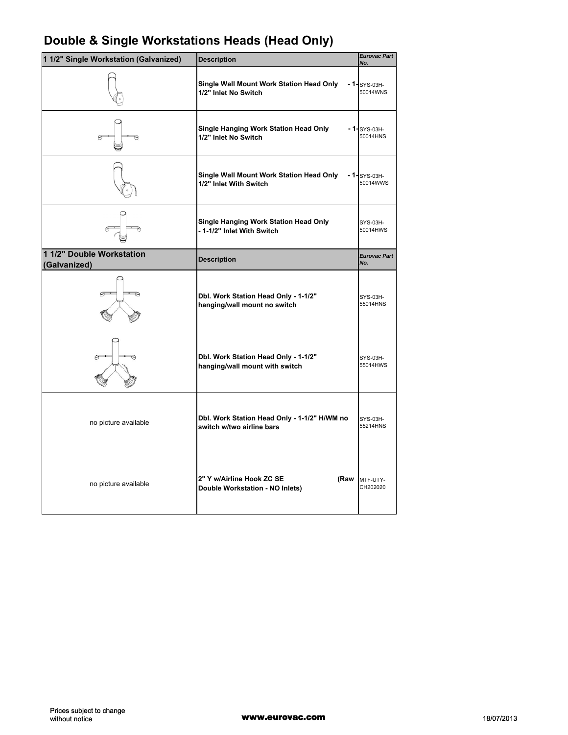| Double & Single Workstations Heads (Head Only) |  |  |  |
|------------------------------------------------|--|--|--|
|------------------------------------------------|--|--|--|

| 1 1/2" Single Workstation (Galvanized)    | <b>Description</b>                                                        | <b>Eurovac Part</b><br>No. |
|-------------------------------------------|---------------------------------------------------------------------------|----------------------------|
|                                           | Single Wall Mount Work Station Head Only<br>1/2" Inlet No Switch          | $-1-$ SYS-03H-<br>50014WNS |
|                                           | <b>Single Hanging Work Station Head Only</b><br>1/2" Inlet No Switch      | $-1$ -SYS-03H-<br>50014HNS |
|                                           | Single Wall Mount Work Station Head Only<br>1/2" Inlet With Switch        | $-1$ -SYS-03H-<br>50014WWS |
|                                           | Single Hanging Work Station Head Only<br>- 1-1/2" Inlet With Switch       | SYS-03H-<br>50014HWS       |
| 1 1/2" Double Workstation<br>(Galvanized) | <b>Description</b>                                                        | <b>Eurovac Part</b><br>No. |
|                                           | Dbl. Work Station Head Only - 1-1/2"<br>hanging/wall mount no switch      | SYS-03H-<br>55014HNS       |
|                                           | Dbl. Work Station Head Only - 1-1/2"<br>hanging/wall mount with switch    | SYS-03H-<br>55014HWS       |
| no picture available                      | Dbl. Work Station Head Only - 1-1/2" H/WM no<br>switch w/two airline bars | SYS-03H-<br>55214HNS       |
| no picture available                      | 2" Y w/Airline Hook ZC SE<br>(Raw<br>Double Workstation - NO Inlets)      | MTF-UTY-<br>CH202020       |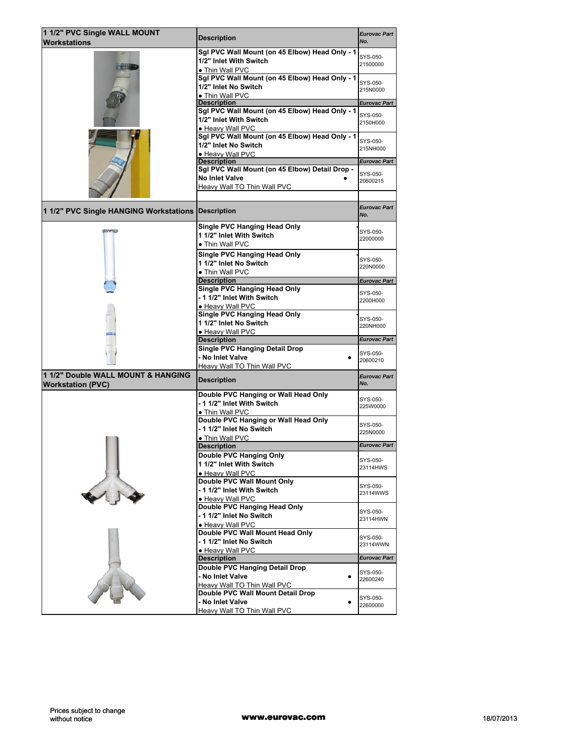| 1 1/2" PVC Single WALL MOUNT                       | <b>Description</b>                                          | <b>Eurovac Part</b>  |
|----------------------------------------------------|-------------------------------------------------------------|----------------------|
| <b>Workstations</b>                                |                                                             | No.                  |
|                                                    | Sgl PVC Wall Mount (on 45 Elbow) Head Only - 1              | SYS-050-             |
|                                                    | 1/2" Inlet With Switch                                      | 21500000             |
|                                                    | • Thin Wall PVC                                             |                      |
|                                                    | Sgl PVC Wall Mount (on 45 Elbow) Head Only - 1              | SYS-050-             |
|                                                    | 1/2" Inlet No Switch<br>• Thin Wall PVC                     | 215N0000             |
|                                                    | <b>Description</b>                                          | <b>Eurovac Part</b>  |
|                                                    | Sgl PVC Wall Mount (on 45 Elbow) Head Only - 1              |                      |
|                                                    | 1/2" Inlet With Switch                                      | SYS-050-<br>2150H000 |
|                                                    | • Heavy Wall PVC                                            |                      |
|                                                    | Sgl PVC Wall Mount (on 45 Elbow) Head Only - 1              | SYS-050-             |
|                                                    | 1/2" Inlet No Switch                                        | 215NH000             |
|                                                    | · Heavy Wall PVC<br><b>Description</b>                      | <b>Eurovac Part</b>  |
|                                                    | Sgl PVC Wall Mount (on 45 Elbow) Detail Drop -              |                      |
|                                                    | <b>No Inlet Valve</b>                                       | SYS-050-<br>20600215 |
|                                                    | Heavy Wall TO Thin Wall PVC                                 |                      |
|                                                    |                                                             |                      |
| 1 1/2" PVC Single HANGING Workstations Description |                                                             | <b>Eurovac Part</b>  |
|                                                    |                                                             | No.                  |
|                                                    | <b>Single PVC Hanging Head Only</b>                         | SYS-050-             |
|                                                    | 1 1/2" Inlet With Switch                                    | 22000000             |
|                                                    | • Thin Wall PVC                                             |                      |
|                                                    | <b>Single PVC Hanging Head Only</b>                         | SYS-050-             |
|                                                    | 1 1/2" Inlet No Switch                                      | 220N0000             |
|                                                    | • Thin Wall PVC<br><b>Description</b>                       |                      |
|                                                    | <b>Single PVC Hanging Head Only</b>                         | Eurovac Part         |
|                                                    | - 1 1/2" Inlet With Switch                                  | SYS-050-             |
|                                                    | · Heavy Wall PVC                                            | 2200H000             |
|                                                    | <b>Single PVC Hanging Head Only</b>                         | SYS-050-             |
|                                                    | 1 1/2" Inlet No Switch                                      | 220NH000             |
|                                                    | • Heavy Wall PVC                                            | <b>Eurovac Part</b>  |
|                                                    | <b>Description</b><br><b>Single PVC Hanging Detail Drop</b> |                      |
|                                                    | - No Inlet Valve                                            | SYS-050-             |
|                                                    | Heavy Wall TO Thin Wall PVC                                 | 20600210             |
| 1 1/2" Double WALL MOUNT & HANGING                 |                                                             | <b>Eurovac Part</b>  |
| <b>Workstation (PVC)</b>                           | <b>Description</b>                                          | No.                  |
|                                                    | Double PVC Hanging or Wall Head Only                        | SYS-050-             |
|                                                    | - 1 1/2" Inlet With Switch                                  | 225W0000             |
|                                                    | • Thin Wall PVC<br>Double PVC Hanging or Wall Head Only     |                      |
|                                                    | - 1 1/2" Inlet No Switch                                    | SYS-050-             |
|                                                    | • Thin Wall PVC                                             | 225N0000             |
|                                                    | <b>Description</b>                                          | Eurovac Part         |
|                                                    | Double PVC Hanging Only                                     |                      |
|                                                    | 1 1/2" Inlet With Switch                                    | SYS-050-<br>23114HWS |
|                                                    | · Heavy Wall PVC                                            |                      |
|                                                    | Double PVC Wall Mount Only                                  | SYS-050-             |
|                                                    | - 1 1/2" Inlet With Switch<br>• Heavy Wall PVC              | 23114WWS             |
|                                                    | Double PVC Hanging Head Only                                |                      |
|                                                    | - 1 1/2" Inlet No Switch                                    | SYS-050-             |
|                                                    | • Heavy Wall PVC                                            | 23114HWN             |
|                                                    | Double PVC Wall Mount Head Only                             | SYS-050-             |
|                                                    | - 1 1/2" Inlet No Switch                                    | 23114WWN             |
|                                                    | • Heavy Wall PVC                                            |                      |
|                                                    | <b>Description</b>                                          | <b>Eurovac Part</b>  |
|                                                    | Double PVC Hanging Detail Drop                              | SYS-050-             |
|                                                    | - No Inlet Valve<br>٠                                       | 22600240             |
|                                                    |                                                             |                      |
|                                                    | Heavy Wall TO Thin Wall PVC                                 |                      |
|                                                    | Double PVC Wall Mount Detail Drop<br>- No Inlet Valve       | SYS-050-             |
|                                                    | Heavy Wall TO Thin Wall PVC                                 | 22600000             |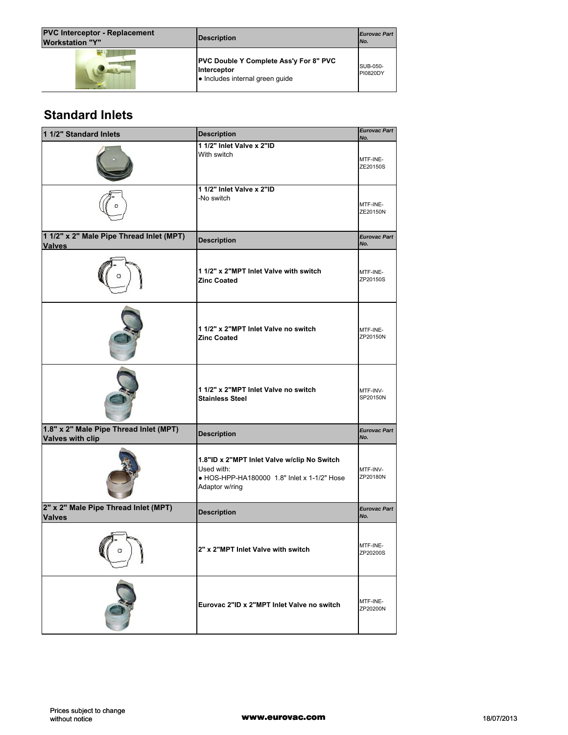| <b>PVC Interceptor - Replacement</b><br><b>Workstation "Y"</b> | Description                                                                                     | <b>Eurovac Part</b><br>INo. |
|----------------------------------------------------------------|-------------------------------------------------------------------------------------------------|-----------------------------|
|                                                                | <b>PVC Double Y Complete Ass'y For 8" PVC</b><br>Interceptor<br>. Includes internal green quide | <b>SUB-050-</b><br>PI0820DY |

## **Standard Inlets**

| 1 1/2" Standard Inlets                                            | <b>Description</b>                                                                                                         | <b>Eurovac Part</b><br>No. |
|-------------------------------------------------------------------|----------------------------------------------------------------------------------------------------------------------------|----------------------------|
|                                                                   | 1 1/2" Inlet Valve x 2"ID                                                                                                  |                            |
|                                                                   | With switch                                                                                                                | MTF-INE-<br>ZE20150S       |
|                                                                   | 1 1/2" Inlet Valve x 2"ID<br>-No switch                                                                                    | MTF-INE-<br>ZE20150N       |
| 1 1/2" x 2" Male Pipe Thread Inlet (MPT)<br><b>Valves</b>         | <b>Description</b>                                                                                                         | <b>Eurovac Part</b><br>No. |
|                                                                   | 1 1/2" x 2"MPT Inlet Valve with switch<br><b>Zinc Coated</b>                                                               | MTF-INE-<br>ZP20150S       |
|                                                                   | 1 1/2" x 2"MPT Inlet Valve no switch<br><b>Zinc Coated</b>                                                                 | MTF-INE-<br>ZP20150N       |
|                                                                   | 1 1/2" x 2"MPT Inlet Valve no switch<br><b>Stainless Steel</b>                                                             | MTF-INV-<br>SP20150N       |
| 1.8" x 2" Male Pipe Thread Inlet (MPT)<br><b>Valves with clip</b> | <b>Description</b>                                                                                                         | <b>Eurovac Part</b><br>No. |
|                                                                   | 1.8"ID x 2"MPT Inlet Valve w/clip No Switch<br>Used with:<br>• HOS-HPP-HA180000 1.8" Inlet x 1-1/2" Hose<br>Adaptor w/ring | MTF-INV-<br>ZP20180N       |
| 2" x 2" Male Pipe Thread Inlet (MPT)<br><b>Valves</b>             | <b>Description</b>                                                                                                         | <b>Eurovac Part</b><br>No. |
| о                                                                 | 2" x 2"MPT Inlet Valve with switch                                                                                         | MTF-INE-<br>ZP20200S       |
|                                                                   | Eurovac 2"ID x 2"MPT Inlet Valve no switch                                                                                 | MTF-INE-<br>ZP20200N       |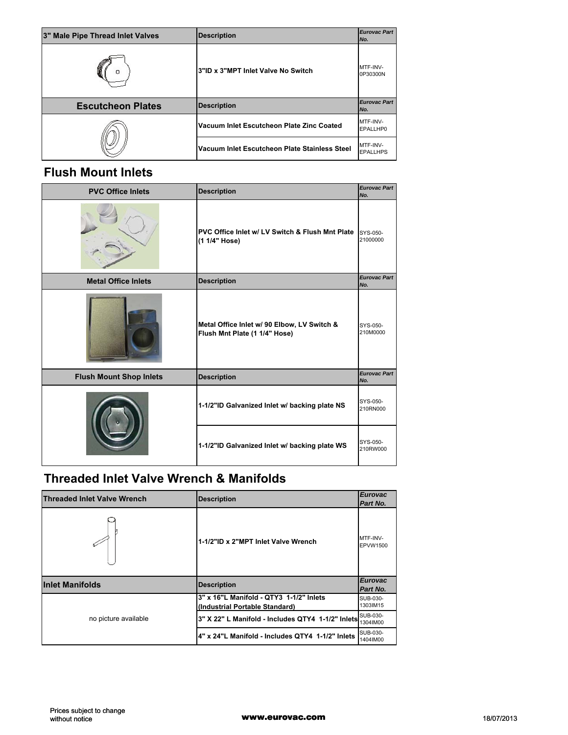| 3" Male Pipe Thread Inlet Valves | <b>Description</b>                            | <b>Eurovac Part</b><br>INo.         |
|----------------------------------|-----------------------------------------------|-------------------------------------|
| Ω                                | 3"ID x 3"MPT Inlet Valve No Switch            | MTF-INV-<br>0P30300N                |
| <b>Escutcheon Plates</b>         | <b>Description</b>                            | <b>Eurovac Part</b><br>No.          |
|                                  | Vacuum Inlet Escutcheon Plate Zinc Coated     | MTF-INV-<br>EPALLHP0                |
|                                  | Vacuum Inlet Escutcheon Plate Stainless Steel | <b>IMTF-INV-</b><br><b>EPALLHPS</b> |

### **Flush Mount Inlets**

| <b>PVC Office Inlets</b>       | <b>Description</b>                                                           | <b>Eurovac Part</b><br>No. |
|--------------------------------|------------------------------------------------------------------------------|----------------------------|
|                                | PVC Office Inlet w/ LV Switch & Flush Mnt Plate<br>(1 1/4" Hose)             | SYS-050-<br>21000000       |
| <b>Metal Office Inlets</b>     | <b>Description</b>                                                           | <b>Eurovac Part</b><br>No. |
|                                | Metal Office Inlet w/ 90 Elbow, LV Switch &<br>Flush Mnt Plate (1 1/4" Hose) | SYS-050-<br>210M0000       |
| <b>Flush Mount Shop Inlets</b> | <b>Description</b>                                                           | <b>Eurovac Part</b><br>No. |
|                                | 1-1/2"ID Galvanized Inlet w/ backing plate NS                                | SYS-050-<br>210RN000       |
|                                | 1-1/2"ID Galvanized Inlet w/ backing plate WS                                | SYS-050-<br>210RW000       |

## **Threaded Inlet Valve Wrench & Manifolds**

| <b>Threaded Inlet Valve Wrench</b> | <b>Description</b>                                                        | <b>Eurovac</b><br>Part No.  |
|------------------------------------|---------------------------------------------------------------------------|-----------------------------|
|                                    | 1-1/2"ID x 2"MPT Inlet Valve Wrench                                       | MTF-INV-<br><b>EPVW1500</b> |
| <b>Inlet Manifolds</b>             | <b>Description</b>                                                        | <b>Eurovac</b><br>Part No.  |
| no picture available               | 3" x 16"L Manifold - QTY3 1-1/2" Inlets<br>(Industrial Portable Standard) | SUB-030-<br>1303IM15        |
|                                    | 3" X 22" L Manifold - Includes QTY4 1-1/2" Inlets                         | SUB-030-<br>1304IM00        |
|                                    | 4" x 24"L Manifold - Includes QTY4 1-1/2" Inlets                          | SUB-030-<br>1404IM00        |